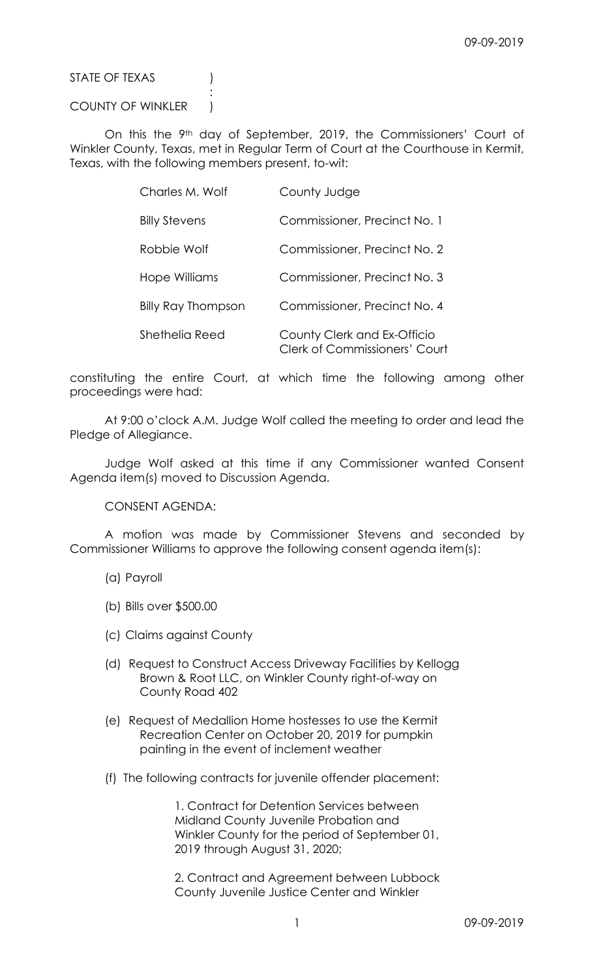STATE OF TEXAS (1)

## COUNTY OF WINKLER )

**Service State State State State** 

On this the 9<sup>th</sup> day of September, 2019, the Commissioners' Court of Winkler County, Texas, met in Regular Term of Court at the Courthouse in Kermit, Texas, with the following members present, to-wit:

| Charles M. Wolf           | County Judge                                                        |
|---------------------------|---------------------------------------------------------------------|
| <b>Billy Stevens</b>      | Commissioner, Precinct No. 1                                        |
| Robbie Wolf               | Commissioner, Precinct No. 2                                        |
| Hope Williams             | Commissioner, Precinct No. 3                                        |
| <b>Billy Ray Thompson</b> | Commissioner, Precinct No. 4                                        |
| Shethelia Reed            | County Clerk and Ex-Officio<br><b>Clerk of Commissioners' Court</b> |

constituting the entire Court, at which time the following among other proceedings were had:

 At 9:00 o'clock A.M. Judge Wolf called the meeting to order and lead the Pledge of Allegiance.

 Judge Wolf asked at this time if any Commissioner wanted Consent Agenda item(s) moved to Discussion Agenda.

CONSENT AGENDA:

 A motion was made by Commissioner Stevens and seconded by Commissioner Williams to approve the following consent agenda item(s):

- (a) Payroll
- (b) Bills over \$500.00
- (c) Claims against County
- (d) Request to Construct Access Driveway Facilities by Kellogg Brown & Root LLC, on Winkler County right-of-way on County Road 402
- (e) Request of Medallion Home hostesses to use the Kermit Recreation Center on October 20, 2019 for pumpkin painting in the event of inclement weather
- (f) The following contracts for juvenile offender placement:

 1. Contract for Detention Services between Midland County Juvenile Probation and Winkler County for the period of September 01, 2019 through August 31, 2020;

 2. Contract and Agreement between Lubbock County Juvenile Justice Center and Winkler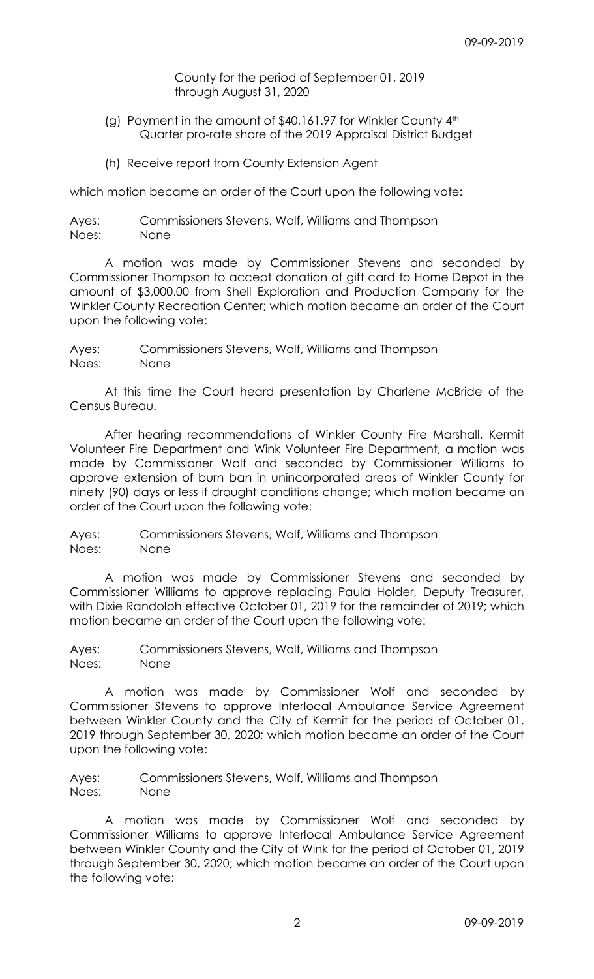County for the period of September 01, 2019 through August 31, 2020

- (g) Payment in the amount of \$40,161.97 for Winkler County 4th Quarter pro-rate share of the 2019 Appraisal District Budget
- (h) Receive report from County Extension Agent

which motion became an order of the Court upon the following vote:

Ayes: Commissioners Stevens, Wolf, Williams and Thompson Noes: None

 A motion was made by Commissioner Stevens and seconded by Commissioner Thompson to accept donation of gift card to Home Depot in the amount of \$3,000.00 from Shell Exploration and Production Company for the Winkler County Recreation Center; which motion became an order of the Court upon the following vote:

Ayes: Commissioners Stevens, Wolf, Williams and Thompson Noes: None

 At this time the Court heard presentation by Charlene McBride of the Census Bureau.

 After hearing recommendations of Winkler County Fire Marshall, Kermit Volunteer Fire Department and Wink Volunteer Fire Department, a motion was made by Commissioner Wolf and seconded by Commissioner Williams to approve extension of burn ban in unincorporated areas of Winkler County for ninety (90) days or less if drought conditions change; which motion became an order of the Court upon the following vote:

Ayes: Commissioners Stevens, Wolf, Williams and Thompson Noes: None

 A motion was made by Commissioner Stevens and seconded by Commissioner Williams to approve replacing Paula Holder, Deputy Treasurer, with Dixie Randolph effective October 01, 2019 for the remainder of 2019; which motion became an order of the Court upon the following vote:

Ayes: Commissioners Stevens, Wolf, Williams and Thompson Noes: None

 A motion was made by Commissioner Wolf and seconded by Commissioner Stevens to approve Interlocal Ambulance Service Agreement between Winkler County and the City of Kermit for the period of October 01, 2019 through September 30, 2020; which motion became an order of the Court upon the following vote:

Ayes: Commissioners Stevens, Wolf, Williams and Thompson Noes: None

 A motion was made by Commissioner Wolf and seconded by Commissioner Williams to approve Interlocal Ambulance Service Agreement between Winkler County and the City of Wink for the period of October 01, 2019 through September 30, 2020; which motion became an order of the Court upon the following vote: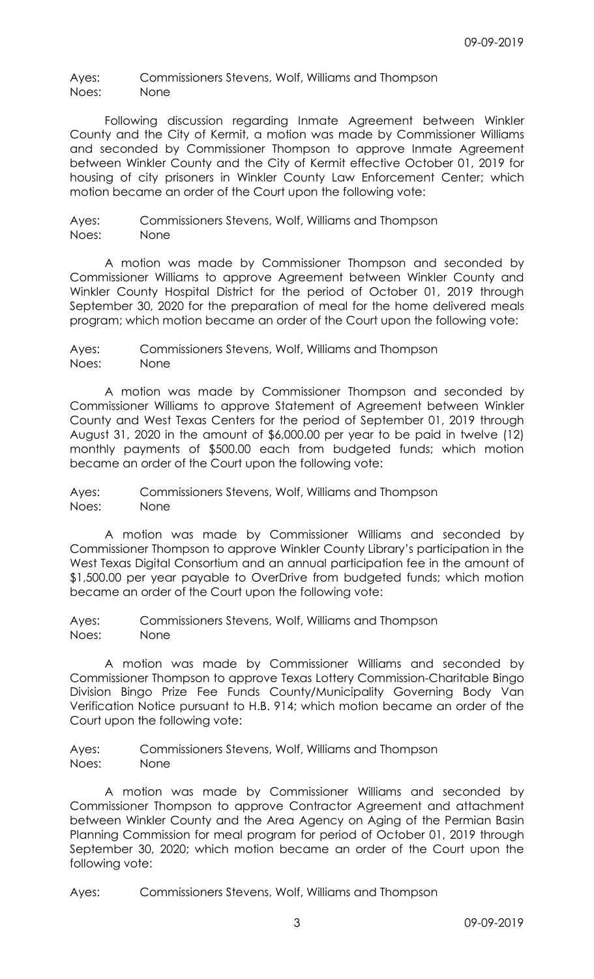Ayes: Commissioners Stevens, Wolf, Williams and Thompson Noes: None

 Following discussion regarding Inmate Agreement between Winkler County and the City of Kermit, a motion was made by Commissioner Williams and seconded by Commissioner Thompson to approve Inmate Agreement between Winkler County and the City of Kermit effective October 01, 2019 for housing of city prisoners in Winkler County Law Enforcement Center; which motion became an order of the Court upon the following vote:

Ayes: Commissioners Stevens, Wolf, Williams and Thompson Noes: None

 A motion was made by Commissioner Thompson and seconded by Commissioner Williams to approve Agreement between Winkler County and Winkler County Hospital District for the period of October 01, 2019 through September 30, 2020 for the preparation of meal for the home delivered meals program; which motion became an order of the Court upon the following vote:

Ayes: Commissioners Stevens, Wolf, Williams and Thompson Noes: None

 A motion was made by Commissioner Thompson and seconded by Commissioner Williams to approve Statement of Agreement between Winkler County and West Texas Centers for the period of September 01, 2019 through August 31, 2020 in the amount of \$6,000.00 per year to be paid in twelve (12) monthly payments of \$500.00 each from budgeted funds; which motion became an order of the Court upon the following vote:

Ayes: Commissioners Stevens, Wolf, Williams and Thompson Noes: None

 A motion was made by Commissioner Williams and seconded by Commissioner Thompson to approve Winkler County Library's participation in the West Texas Digital Consortium and an annual participation fee in the amount of \$1,500.00 per year payable to OverDrive from budgeted funds; which motion became an order of the Court upon the following vote:

Ayes: Commissioners Stevens, Wolf, Williams and Thompson Noes: None

 A motion was made by Commissioner Williams and seconded by Commissioner Thompson to approve Texas Lottery Commission-Charitable Bingo Division Bingo Prize Fee Funds County/Municipality Governing Body Van Verification Notice pursuant to H.B. 914; which motion became an order of the Court upon the following vote:

Ayes: Commissioners Stevens, Wolf, Williams and Thompson Noes: None

 A motion was made by Commissioner Williams and seconded by Commissioner Thompson to approve Contractor Agreement and attachment between Winkler County and the Area Agency on Aging of the Permian Basin Planning Commission for meal program for period of October 01, 2019 through September 30, 2020; which motion became an order of the Court upon the following vote:

Ayes: Commissioners Stevens, Wolf, Williams and Thompson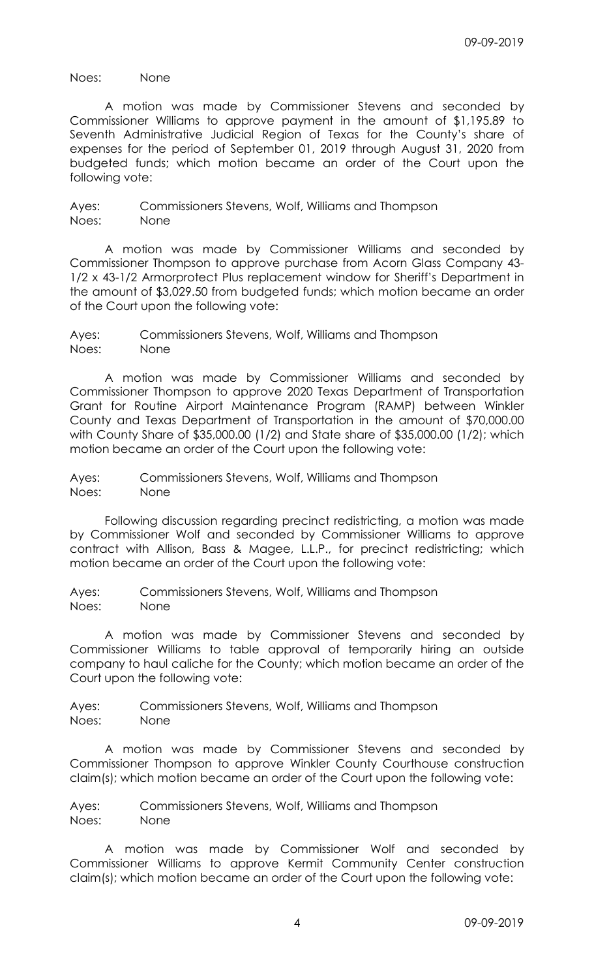Noes: None

 A motion was made by Commissioner Stevens and seconded by Commissioner Williams to approve payment in the amount of \$1,195.89 to Seventh Administrative Judicial Region of Texas for the County's share of expenses for the period of September 01, 2019 through August 31, 2020 from budgeted funds; which motion became an order of the Court upon the following vote:

Ayes: Commissioners Stevens, Wolf, Williams and Thompson Noes: None

 A motion was made by Commissioner Williams and seconded by Commissioner Thompson to approve purchase from Acorn Glass Company 43- 1/2 x 43-1/2 Armorprotect Plus replacement window for Sheriff's Department in the amount of \$3,029.50 from budgeted funds; which motion became an order of the Court upon the following vote:

Ayes: Commissioners Stevens, Wolf, Williams and Thompson Noes: None

 A motion was made by Commissioner Williams and seconded by Commissioner Thompson to approve 2020 Texas Department of Transportation Grant for Routine Airport Maintenance Program (RAMP) between Winkler County and Texas Department of Transportation in the amount of \$70,000.00 with County Share of \$35,000.00 (1/2) and State share of \$35,000.00 (1/2); which motion became an order of the Court upon the following vote:

Ayes: Commissioners Stevens, Wolf, Williams and Thompson Noes: None

 Following discussion regarding precinct redistricting, a motion was made by Commissioner Wolf and seconded by Commissioner Williams to approve contract with Allison, Bass & Magee, L.L.P., for precinct redistricting; which motion became an order of the Court upon the following vote:

Ayes: Commissioners Stevens, Wolf, Williams and Thompson Noes: None

 A motion was made by Commissioner Stevens and seconded by Commissioner Williams to table approval of temporarily hiring an outside company to haul caliche for the County; which motion became an order of the Court upon the following vote:

Ayes: Commissioners Stevens, Wolf, Williams and Thompson Noes: None

 A motion was made by Commissioner Stevens and seconded by Commissioner Thompson to approve Winkler County Courthouse construction claim(s); which motion became an order of the Court upon the following vote:

Ayes: Commissioners Stevens, Wolf, Williams and Thompson Noes: None

 A motion was made by Commissioner Wolf and seconded by Commissioner Williams to approve Kermit Community Center construction claim(s); which motion became an order of the Court upon the following vote: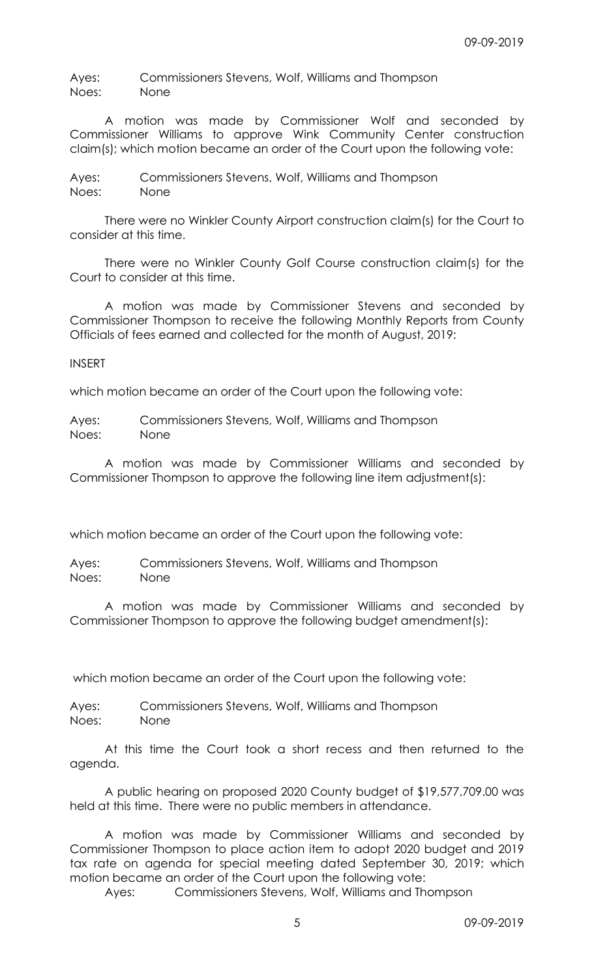Ayes: Commissioners Stevens, Wolf, Williams and Thompson Noes: None

 A motion was made by Commissioner Wolf and seconded by Commissioner Williams to approve Wink Community Center construction claim(s); which motion became an order of the Court upon the following vote:

Ayes: Commissioners Stevens, Wolf, Williams and Thompson Noes: None

 There were no Winkler County Airport construction claim(s) for the Court to consider at this time.

 There were no Winkler County Golf Course construction claim(s) for the Court to consider at this time.

 A motion was made by Commissioner Stevens and seconded by Commissioner Thompson to receive the following Monthly Reports from County Officials of fees earned and collected for the month of August, 2019:

INSERT

which motion became an order of the Court upon the following vote:

Ayes: Commissioners Stevens, Wolf, Williams and Thompson Noes: None

 A motion was made by Commissioner Williams and seconded by Commissioner Thompson to approve the following line item adjustment(s):

which motion became an order of the Court upon the following vote:

Ayes: Commissioners Stevens, Wolf, Williams and Thompson Noes: None

 A motion was made by Commissioner Williams and seconded by Commissioner Thompson to approve the following budget amendment(s):

which motion became an order of the Court upon the following vote:

Ayes: Commissioners Stevens, Wolf, Williams and Thompson Noes: None

 At this time the Court took a short recess and then returned to the agenda.

 A public hearing on proposed 2020 County budget of \$19,577,709.00 was held at this time. There were no public members in attendance.

 A motion was made by Commissioner Williams and seconded by Commissioner Thompson to place action item to adopt 2020 budget and 2019 tax rate on agenda for special meeting dated September 30, 2019; which motion became an order of the Court upon the following vote:

Ayes: Commissioners Stevens, Wolf, Williams and Thompson